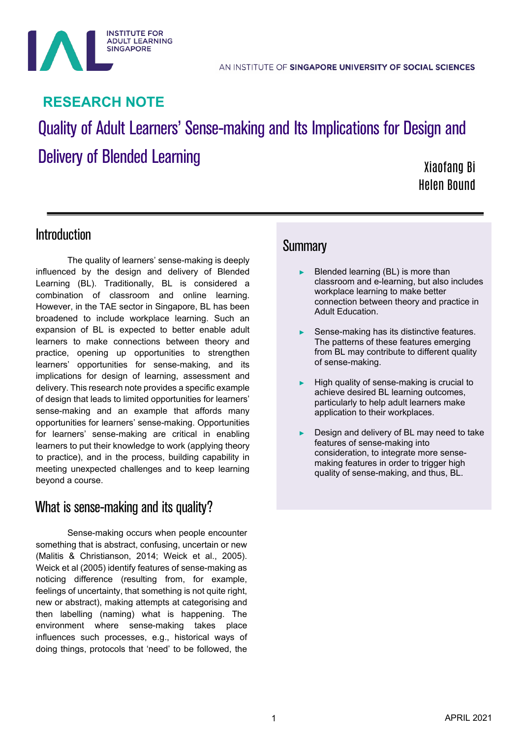

# **RESEARCH NOTE**

# Quality of Adult Learners' Sense-making and Its Implications for Design and Delivery of Blended Learning

Xiaofang Bi Helen Bound

## Introduction

The quality of learners' sense-making is deeply influenced by the design and delivery of Blended Learning (BL). Traditionally, BL is considered a combination of classroom and online learning. However, in the TAE sector in Singapore, BL has been broadened to include workplace learning. Such an expansion of BL is expected to better enable adult learners to make connections between theory and practice, opening up opportunities to strengthen learners' opportunities for sense-making, and its implications for design of learning, assessment and delivery. This research note provides a specific example of design that leads to limited opportunities for learners' sense-making and an example that affords many opportunities for learners' sense-making. Opportunities for learners' sense-making are critical in enabling learners to put their knowledge to work (applying theory to practice), and in the process, building capability in meeting unexpected challenges and to keep learning beyond a course.

# What is sense-making and its quality?

Sense-making occurs when people encounter something that is abstract, confusing, uncertain or new (Malitis & Christianson, 2014; Weick et al., 2005). Weick et al (2005) identify features of sense-making as noticing difference (resulting from, for example, feelings of uncertainty, that something is not quite right, new or abstract), making attempts at categorising and then labelling (naming) what is happening. The environment where sense-making takes place influences such processes, e.g., historical ways of doing things, protocols that 'need' to be followed, the

### **Summary**

- Blended learning (BL) is more than classroom and e-learning, but also includes workplace learning to make better connection between theory and practice in Adult Education.
- Sense-making has its distinctive features. The patterns of these features emerging from BL may contribute to different quality of sense-making.
- High quality of sense-making is crucial to achieve desired BL learning outcomes, particularly to help adult learners make application to their workplaces.
- Design and delivery of BL may need to take features of sense-making into consideration, to integrate more sensemaking features in order to trigger high quality of sense-making, and thus, BL.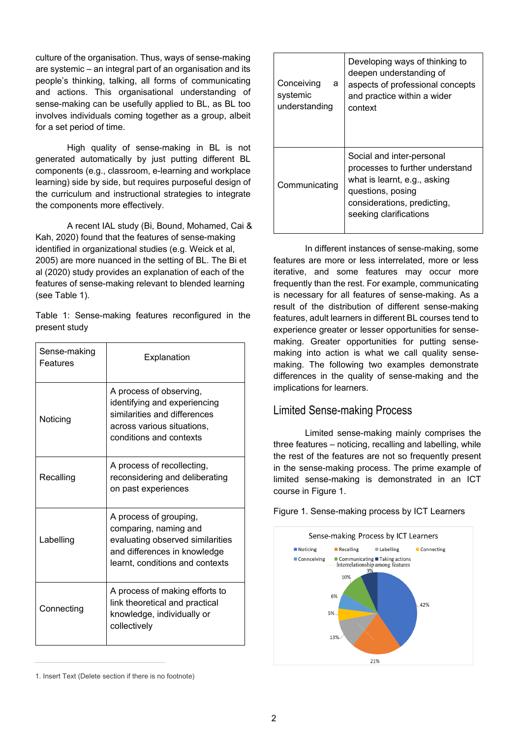culture of the organisation. Thus, ways of sense-making are systemic – an integral part of an organisation and its people's thinking, talking, all forms of communicating and actions. This organisational understanding of sense-making can be usefully applied to BL, as BL too involves individuals coming together as a group, albeit for a set period of time.

High quality of sense-making in BL is not generated automatically by just putting different BL components (e.g., classroom, e-learning and workplace learning) side by side, but requires purposeful design of the curriculum and instructional strategies to integrate the components more effectively.

A recent IAL study (Bi, Bound, Mohamed, Cai & Kah, 2020) found that the features of sense-making identified in organizational studies (e.g. Weick et al, 2005) are more nuanced in the setting of BL. The Bi et al (2020) study provides an explanation of each of the features of sense-making relevant to blended learning (see Table 1).

Table 1: Sense-making features reconfigured in the present study

| Sense-making<br>Features | Explanation                                                                                                                                            |
|--------------------------|--------------------------------------------------------------------------------------------------------------------------------------------------------|
| Noticing                 | A process of observing,<br>identifying and experiencing<br>similarities and differences<br>across various situations,<br>conditions and contexts       |
| Recalling                | A process of recollecting,<br>reconsidering and deliberating<br>on past experiences                                                                    |
| Labelling                | A process of grouping,<br>comparing, naming and<br>evaluating observed similarities<br>and differences in knowledge<br>learnt, conditions and contexts |
| Connecting               | A process of making efforts to<br>link theoretical and practical<br>knowledge, individually or<br>collectively                                         |

| Conceiving<br>a<br>systemic<br>understanding | Developing ways of thinking to<br>deepen understanding of<br>aspects of professional concepts<br>and practice within a wider<br>context                                    |
|----------------------------------------------|----------------------------------------------------------------------------------------------------------------------------------------------------------------------------|
| Communicating                                | Social and inter-personal<br>processes to further understand<br>what is learnt, e.g., asking<br>questions, posing<br>considerations, predicting,<br>seeking clarifications |

In different instances of sense-making, some features are more or less interrelated, more or less iterative, and some features may occur more frequently than the rest. For example, communicating is necessary for all features of sense-making. As a result of the distribution of different sense-making features, adult learners in different BL courses tend to experience greater or lesser opportunities for sensemaking. Greater opportunities for putting sensemaking into action is what we call quality sensemaking. The following two examples demonstrate differences in the quality of sense-making and the implications for learners.

### Limited Sense-making Process

Limited sense-making mainly comprises the three features – noticing, recalling and labelling, while the rest of the features are not so frequently present in the sense-making process. The prime example of limited sense-making is demonstrated in an ICT course in Figure 1.

Figure 1. Sense-making process by ICT Learners



<sup>1.</sup> Insert Text (Delete section if there is no footnote)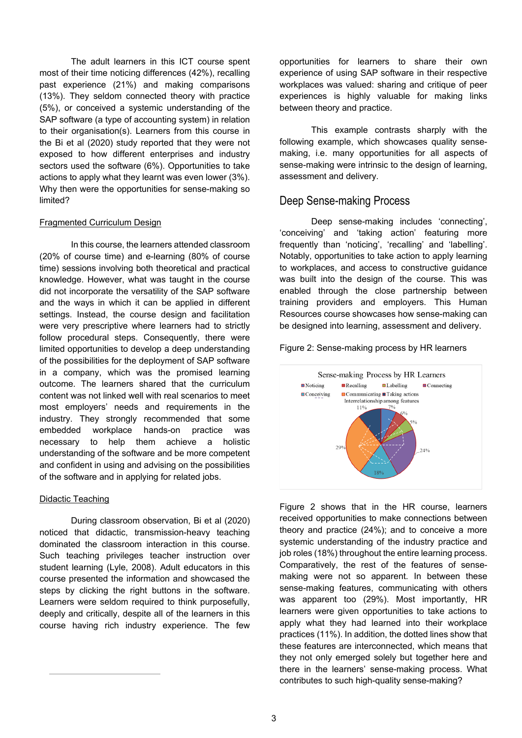The adult learners in this ICT course spent most of their time noticing differences (42%), recalling past experience (21%) and making comparisons (13%). They seldom connected theory with practice (5%), or conceived a systemic understanding of the SAP software (a type of accounting system) in relation to their organisation(s). Learners from this course in the Bi et al (2020) study reported that they were not exposed to how different enterprises and industry sectors used the software (6%). Opportunities to take actions to apply what they learnt was even lower (3%). Why then were the opportunities for sense-making so limited?

#### Fragmented Curriculum Design

In this course, the learners attended classroom (20% of course time) and e-learning (80% of course time) sessions involving both theoretical and practical knowledge. However, what was taught in the course did not incorporate the versatility of the SAP software and the ways in which it can be applied in different settings. Instead, the course design and facilitation were very prescriptive where learners had to strictly follow procedural steps. Consequently, there were limited opportunities to develop a deep understanding of the possibilities for the deployment of SAP software in a company, which was the promised learning outcome. The learners shared that the curriculum content was not linked well with real scenarios to meet most employers' needs and requirements in the industry. They strongly recommended that some embedded workplace hands-on practice was necessary to help them achieve a holistic understanding of the software and be more competent and confident in using and advising on the possibilities of the software and in applying for related jobs.

#### Didactic Teaching

During classroom observation, Bi et al (2020) noticed that didactic, transmission-heavy teaching dominated the classroom interaction in this course. Such teaching privileges teacher instruction over student learning (Lyle, 2008). Adult educators in this course presented the information and showcased the steps by clicking the right buttons in the software. Learners were seldom required to think purposefully, deeply and critically, despite all of the learners in this course having rich industry experience. The few

opportunities for learners to share their own experience of using SAP software in their respective workplaces was valued: sharing and critique of peer experiences is highly valuable for making links between theory and practice.

This example contrasts sharply with the following example, which showcases quality sensemaking, i.e. many opportunities for all aspects of sense-making were intrinsic to the design of learning, assessment and delivery.

### Deep Sense-making Process

Deep sense-making includes 'connecting', 'conceiving' and 'taking action' featuring more frequently than 'noticing', 'recalling' and 'labelling'. Notably, opportunities to take action to apply learning to workplaces, and access to constructive guidance was built into the design of the course. This was enabled through the close partnership between training providers and employers. This Human Resources course showcases how sense-making can be designed into learning, assessment and delivery.

Figure 2: Sense-making process by HR learners



Figure 2 shows that in the HR course, learners received opportunities to make connections between theory and practice (24%); and to conceive a more systemic understanding of the industry practice and job roles (18%) throughout the entire learning process. Comparatively, the rest of the features of sensemaking were not so apparent. In between these sense-making features, communicating with others was apparent too (29%). Most importantly, HR learners were given opportunities to take actions to apply what they had learned into their workplace practices (11%). In addition, the dotted lines show that these features are interconnected, which means that they not only emerged solely but together here and there in the learners' sense-making process. What contributes to such high-quality sense-making?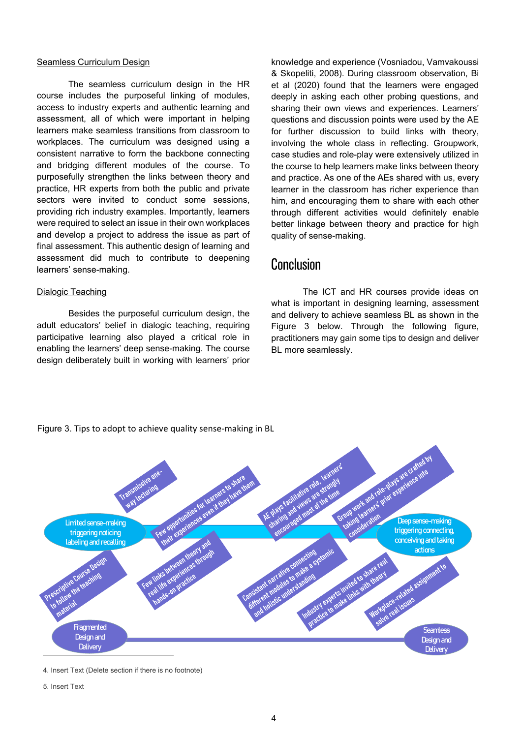#### Seamless Curriculum Design

The seamless curriculum design in the HR course includes the purposeful linking of modules, access to industry experts and authentic learning and assessment, all of which were important in helping learners make seamless transitions from classroom to workplaces. The curriculum was designed using a consistent narrative to form the backbone connecting and bridging different modules of the course. To purposefully strengthen the links between theory and practice, HR experts from both the public and private sectors were invited to conduct some sessions, providing rich industry examples. Importantly, learners were required to select an issue in their own workplaces and develop a project to address the issue as part of final assessment. This authentic design of learning and assessment did much to contribute to deepening learners' sense-making.

#### Dialogic Teaching

Besides the purposeful curriculum design, the adult educators' belief in dialogic teaching, requiring participative learning also played a critical role in enabling the learners' deep sense-making. The course design deliberately built in working with learners' prior knowledge and experience (Vosniadou, Vamvakoussi & Skopeliti, 2008). During classroom observation, Bi et al (2020) found that the learners were engaged deeply in asking each other probing questions, and sharing their own views and experiences. Learners' questions and discussion points were used by the AE for further discussion to build links with theory, involving the whole class in reflecting. Groupwork, case studies and role-play were extensively utilized in the course to help learners make links between theory and practice. As one of the AEs shared with us, every learner in the classroom has richer experience than him, and encouraging them to share with each other through different activities would definitely enable better linkage between theory and practice for high quality of sense-making.

### **Conclusion**

The ICT and HR courses provide ideas on what is important in designing learning, assessment and delivery to achieve seamless BL as shown in the Figure 3 below. Through the following figure, practitioners may gain some tips to design and deliver BL more seamlessly.



Figure 3. Tips to adopt to achieve quality sense-making in BL

<sup>4.</sup> Insert Text (Delete section if there is no footnote)

<sup>5.</sup> Insert Text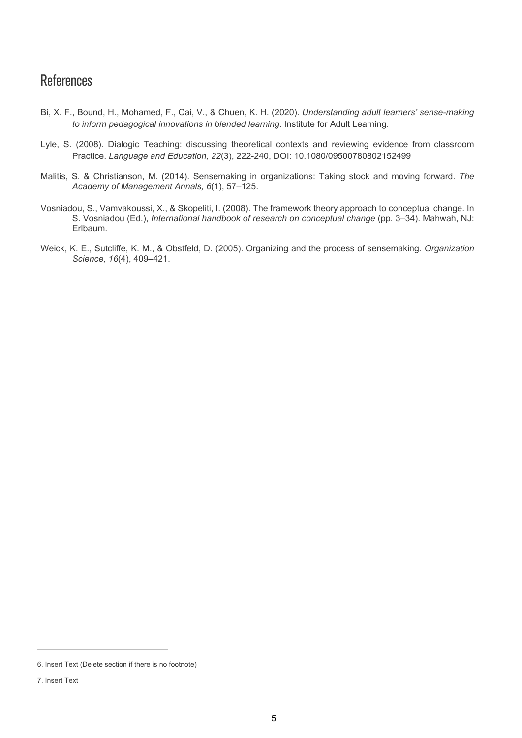# References

- Bi, X. F., Bound, H., Mohamed, F., Cai, V., & Chuen, K. H. (2020). *Understanding adult learners' sense-making to inform pedagogical innovations in blended learning*. Institute for Adult Learning.
- Lyle, S. (2008). Dialogic Teaching: discussing theoretical contexts and reviewing evidence from classroom Practice. *Language and Education, 22*(3), 222-240, DOI: 10.1080/09500780802152499
- Malitis, S. & Christianson, M. (2014). Sensemaking in organizations: Taking stock and moving forward. *The Academy of Management Annals, 6*(1), 57–125.
- Vosniadou, S., Vamvakoussi, X., & Skopeliti, I. (2008). The framework theory approach to conceptual change. In S. Vosniadou (Ed.), *International handbook of research on conceptual change* (pp. 3–34). Mahwah, NJ: Erlbaum.
- Weick, K. E., Sutcliffe, K. M., & Obstfeld, D. (2005). Organizing and the process of sensemaking. *Organization Science, 16*(4), 409–421.

<sup>6.</sup> Insert Text (Delete section if there is no footnote)

<sup>7.</sup> Insert Text